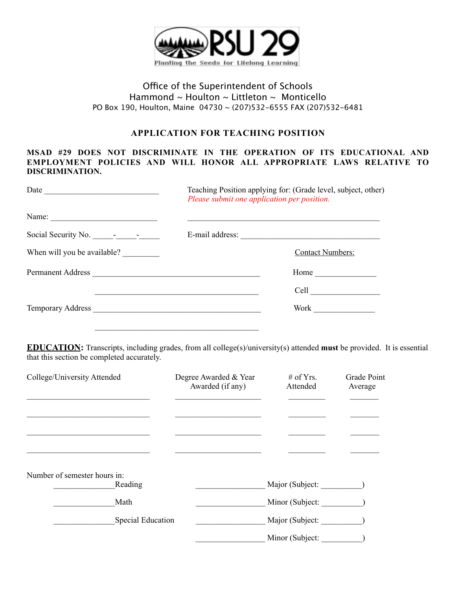

## Office of the Superintendent of Schools Hammond ~ Houlton ~ Littleton ~ Monticello PO Box 190, Houlton, Maine 04730 ~ (207)532-6555 FAX (207)532-6481

## **APPLICATION FOR TEACHING POSITION**

#### **MSAD #29 DOES NOT DISCRIMINATE IN THE OPERATION OF ITS EDUCATIONAL AND EMPLOYMENT POLICIES AND WILL HONOR ALL APPROPRIATE LAWS RELATIVE TO DISCRIMINATION.**

| Date $\qquad \qquad$                                                                                                                                                                                                                                                                                                                                                                           | Teaching Position applying for: (Grade level, subject, other)<br>Please submit one application per position. |  |
|------------------------------------------------------------------------------------------------------------------------------------------------------------------------------------------------------------------------------------------------------------------------------------------------------------------------------------------------------------------------------------------------|--------------------------------------------------------------------------------------------------------------|--|
| Name: $\frac{1}{\sqrt{1-\frac{1}{2}}}\left\{ \frac{1}{2} + \frac{1}{2} \frac{1}{2} + \frac{1}{2} \frac{1}{2} + \frac{1}{2} \frac{1}{2} + \frac{1}{2} \frac{1}{2} + \frac{1}{2} \frac{1}{2} + \frac{1}{2} \frac{1}{2} + \frac{1}{2} \frac{1}{2} + \frac{1}{2} \frac{1}{2} + \frac{1}{2} \frac{1}{2} + \frac{1}{2} \frac{1}{2} + \frac{1}{2} \frac{1}{2} + \frac{1}{2} \frac{1}{2} + \frac{1}{2$ |                                                                                                              |  |
| Social Security No. 10.                                                                                                                                                                                                                                                                                                                                                                        | E-mail address:                                                                                              |  |
| When will you be available?                                                                                                                                                                                                                                                                                                                                                                    | <b>Contact Numbers:</b>                                                                                      |  |
| Permanent Address                                                                                                                                                                                                                                                                                                                                                                              |                                                                                                              |  |
|                                                                                                                                                                                                                                                                                                                                                                                                |                                                                                                              |  |
|                                                                                                                                                                                                                                                                                                                                                                                                | Work                                                                                                         |  |
|                                                                                                                                                                                                                                                                                                                                                                                                |                                                                                                              |  |

**EDUCATION:** Transcripts, including grades, from all college(s)/university(s) attended **must** be provided. It is essential that this section be completed accurately.

| College/University Attended  | Degree Awarded & Year<br>Awarded (if any) | # of Yrs.<br>Attended | Grade Point<br>Average |
|------------------------------|-------------------------------------------|-----------------------|------------------------|
|                              |                                           |                       |                        |
|                              |                                           |                       |                        |
|                              |                                           |                       |                        |
| Number of semester hours in: |                                           |                       |                        |
| Reading                      |                                           | Major (Subject:       |                        |
| Math                         |                                           | Minor (Subject:       |                        |
| <b>Special Education</b>     |                                           | Major (Subject:       |                        |
|                              |                                           | Minor (Subject:       |                        |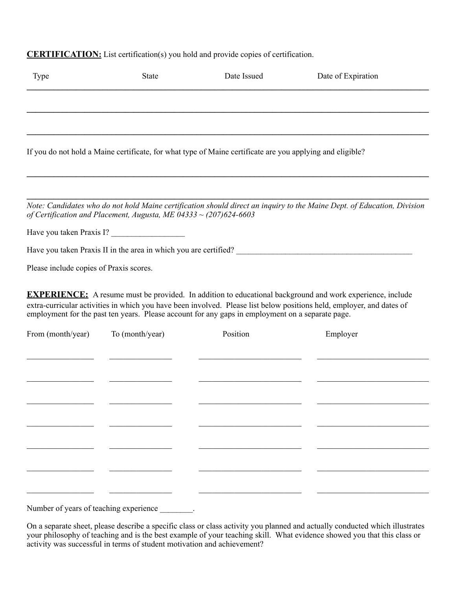# **CERTIFICATION:** List certification(s) you hold and provide copies of certification.

| <b>Type</b>                             | <b>State</b>                                                        | Date Issued                                                                                               | Date of Expiration                                                                                                                                                                                                                        |
|-----------------------------------------|---------------------------------------------------------------------|-----------------------------------------------------------------------------------------------------------|-------------------------------------------------------------------------------------------------------------------------------------------------------------------------------------------------------------------------------------------|
|                                         |                                                                     |                                                                                                           |                                                                                                                                                                                                                                           |
|                                         |                                                                     | If you do not hold a Maine certificate, for what type of Maine certificate are you applying and eligible? |                                                                                                                                                                                                                                           |
|                                         |                                                                     |                                                                                                           |                                                                                                                                                                                                                                           |
|                                         | of Certification and Placement, Augusta, ME 04333 ~ $(207)624-6603$ |                                                                                                           | Note: Candidates who do not hold Maine certification should direct an inquiry to the Maine Dept. of Education, Division                                                                                                                   |
|                                         | Have you taken Praxis I?                                            |                                                                                                           |                                                                                                                                                                                                                                           |
|                                         |                                                                     | Have you taken Praxis II in the area in which you are certified?                                          |                                                                                                                                                                                                                                           |
| Please include copies of Praxis scores. |                                                                     |                                                                                                           |                                                                                                                                                                                                                                           |
|                                         |                                                                     | employment for the past ten years. Please account for any gaps in employment on a separate page.          | <b>EXPERIENCE:</b> A resume must be provided. In addition to educational background and work experience, include<br>extra-curricular activities in which you have been involved. Please list below positions held, employer, and dates of |
| From (month/year)                       | To (month/year)                                                     | Position                                                                                                  | Employer                                                                                                                                                                                                                                  |
|                                         |                                                                     |                                                                                                           |                                                                                                                                                                                                                                           |
|                                         |                                                                     |                                                                                                           |                                                                                                                                                                                                                                           |
|                                         |                                                                     |                                                                                                           |                                                                                                                                                                                                                                           |
|                                         |                                                                     |                                                                                                           |                                                                                                                                                                                                                                           |
|                                         |                                                                     |                                                                                                           |                                                                                                                                                                                                                                           |
|                                         |                                                                     |                                                                                                           |                                                                                                                                                                                                                                           |
|                                         |                                                                     |                                                                                                           |                                                                                                                                                                                                                                           |

Number of years of teaching experience \_\_\_\_\_\_\_.

On a separate sheet, please describe a specific class or class activity you planned and actually conducted which illustrates your philosophy of teaching and is the best example of your teaching skill. What evidence showed you that this class or activity was successful in terms of student motivation and achievement?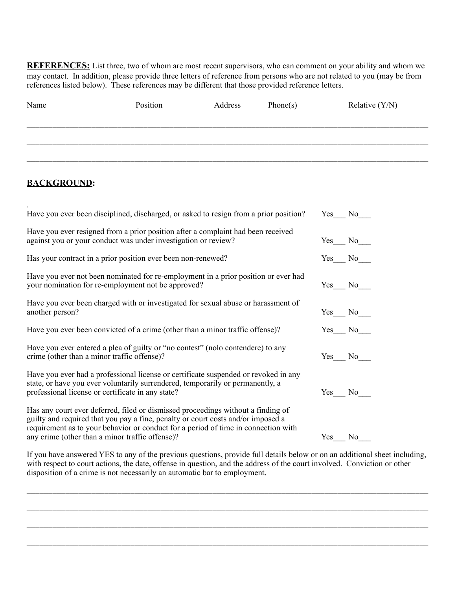**REFERENCES:** List three, two of whom are most recent supervisors, who can comment on your ability and whom we may contact. In addition, please provide three letters of reference from persons who are not related to you (may be from references listed below). These references may be different that those provided reference letters.

| Name | Position | Address | Phone(s) | Relative $(Y/N)$ |
|------|----------|---------|----------|------------------|
|      |          |         |          |                  |
|      |          |         |          |                  |

### **BACKGROUND:**

| Have you ever been disciplined, discharged, or asked to resign from a prior position?                                                                                                                                                                                                                         |        | Yes No          |
|---------------------------------------------------------------------------------------------------------------------------------------------------------------------------------------------------------------------------------------------------------------------------------------------------------------|--------|-----------------|
| Have you ever resigned from a prior position after a complaint had been received<br>against you or your conduct was under investigation or review?                                                                                                                                                            |        | $Yes$ No        |
| Has your contract in a prior position ever been non-renewed?                                                                                                                                                                                                                                                  |        | Yes No          |
| Have you ever not been nominated for re-employment in a prior position or ever had<br>your nomination for re-employment not be approved?                                                                                                                                                                      |        | Yes No          |
| Have you ever been charged with or investigated for sexual abuse or harassment of<br>another person?                                                                                                                                                                                                          |        | $Yes$ No $\_\_$ |
| Have you ever been convicted of a crime (other than a minor traffic offense)?                                                                                                                                                                                                                                 |        | Yes No          |
| Have you ever entered a plea of guilty or "no contest" (nolo contendere) to any<br>crime (other than a minor traffic offense)?                                                                                                                                                                                |        | Yes No          |
| Have you ever had a professional license or certificate suspended or revoked in any<br>state, or have you ever voluntarily surrendered, temporarily or permanently, a<br>professional license or certificate in any state?                                                                                    |        | Yes No          |
| Has any court ever deferred, filed or dismissed proceedings without a finding of<br>guilty and required that you pay a fine, penalty or court costs and/or imposed a<br>requirement as to your behavior or conduct for a period of time in connection with<br>any crime (other than a minor traffic offense)? | Yes No |                 |

If you have answered YES to any of the previous questions, provide full details below or on an additional sheet including, with respect to court actions, the date, offense in question, and the address of the court involved. Conviction or other disposition of a crime is not necessarily an automatic bar to employment.

\_\_\_\_\_\_\_\_\_\_\_\_\_\_\_\_\_\_\_\_\_\_\_\_\_\_\_\_\_\_\_\_\_\_\_\_\_\_\_\_\_\_\_\_\_\_\_\_\_\_\_\_\_\_\_\_\_\_\_\_\_\_\_\_\_\_\_\_\_\_\_\_\_\_\_\_\_\_\_\_\_\_\_\_\_\_\_\_\_\_\_\_\_

 $\mathcal{L}_\mathcal{L} = \{ \mathcal{L}_\mathcal{L} = \{ \mathcal{L}_\mathcal{L} = \{ \mathcal{L}_\mathcal{L} = \{ \mathcal{L}_\mathcal{L} = \{ \mathcal{L}_\mathcal{L} = \{ \mathcal{L}_\mathcal{L} = \{ \mathcal{L}_\mathcal{L} = \{ \mathcal{L}_\mathcal{L} = \{ \mathcal{L}_\mathcal{L} = \{ \mathcal{L}_\mathcal{L} = \{ \mathcal{L}_\mathcal{L} = \{ \mathcal{L}_\mathcal{L} = \{ \mathcal{L}_\mathcal{L} = \{ \mathcal{L}_\mathcal{$ 

 $\mathcal{L}_\mathcal{L} = \{ \mathcal{L}_\mathcal{L} = \{ \mathcal{L}_\mathcal{L} = \{ \mathcal{L}_\mathcal{L} = \{ \mathcal{L}_\mathcal{L} = \{ \mathcal{L}_\mathcal{L} = \{ \mathcal{L}_\mathcal{L} = \{ \mathcal{L}_\mathcal{L} = \{ \mathcal{L}_\mathcal{L} = \{ \mathcal{L}_\mathcal{L} = \{ \mathcal{L}_\mathcal{L} = \{ \mathcal{L}_\mathcal{L} = \{ \mathcal{L}_\mathcal{L} = \{ \mathcal{L}_\mathcal{L} = \{ \mathcal{L}_\mathcal{$ 

 $\mathcal{L}_\mathcal{L} = \{ \mathcal{L}_\mathcal{L} = \{ \mathcal{L}_\mathcal{L} = \{ \mathcal{L}_\mathcal{L} = \{ \mathcal{L}_\mathcal{L} = \{ \mathcal{L}_\mathcal{L} = \{ \mathcal{L}_\mathcal{L} = \{ \mathcal{L}_\mathcal{L} = \{ \mathcal{L}_\mathcal{L} = \{ \mathcal{L}_\mathcal{L} = \{ \mathcal{L}_\mathcal{L} = \{ \mathcal{L}_\mathcal{L} = \{ \mathcal{L}_\mathcal{L} = \{ \mathcal{L}_\mathcal{L} = \{ \mathcal{L}_\mathcal{$